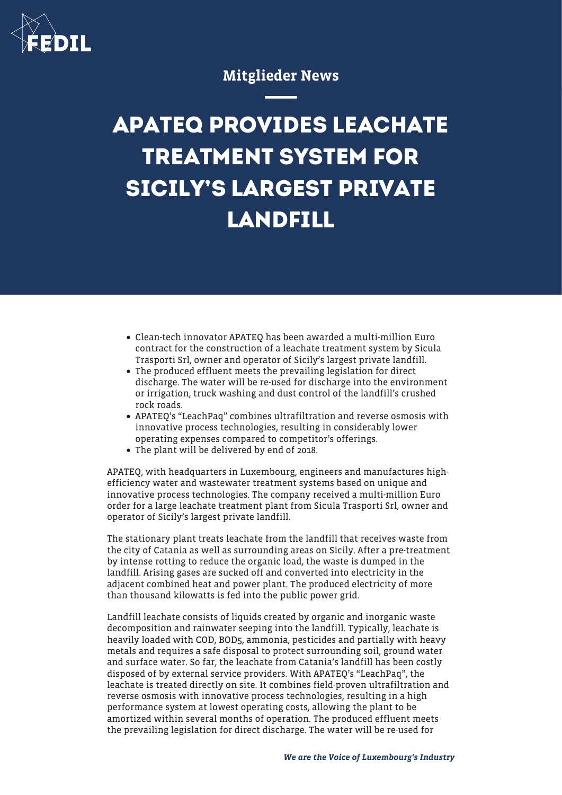

## Mitglieder News

## **APATEQ PROVIDES LEACHATE TREATMENT SYSTEM FOR SICILY'S LARGEST PRIVATE LANDFILL**

- Clean-tech innovator APATEQ has been awarded a multi-million Euro contract for the construction of a leachate treatment system by Sicula Trasporti Srl, owner and operator of Sicily's largest private landfill.
- The produced effluent meets the prevailing legislation for direct discharge. The water will be re-used for discharge into the environment or irrigation, truck washing and dust control of the landfill's crushed rock roads.
- APATEQ's "LeachPaq" combines ultrafiltration and reverse osmosis with innovative process technologies, resulting in considerably lower operating expenses compared to competitor's offerings.
- The plant will be delivered by end of 2018.

APATEQ, with headquarters in Luxembourg, engineers and manufactures highefficiency water and wastewater treatment systems based on unique and innovative process technologies. The company received a multi-million Euro order for a large leachate treatment plant from Sicula Trasporti Srl, owner and operator of Sicily's largest private landfill.

The stationary plant treats leachate from the landfill that receives waste from the city of Catania as well as surrounding areas on Sicily. After a pre-treatment by intense rotting to reduce the organic load, the waste is dumped in the landfill. Arising gases are sucked off and converted into electricity in the adjacent combined heat and power plant. The produced electricity of more than thousand kilowatts is fed into the public power grid.

Landfill leachate consists of liquids created by organic and inorganic waste decomposition and rainwater seeping into the landfill. Typically, leachate is heavily loaded with COD, BOD5, ammonia, pesticides and partially with heavy metals and requires a safe disposal to protect surrounding soil, ground water and surface water. So far, the leachate from Catania's landfill has been costly disposed of by external service providers. With APATEQ's "LeachPaq", the leachate is treated directly on site. It combines field-proven ultrafiltration and reverse osmosis with innovative process technologies, resulting in a high performance system at lowest operating costs, allowing the plant to be amortized within several months of operation. The produced effluent meets the prevailing legislation for direct discharge. The water will be re-used for